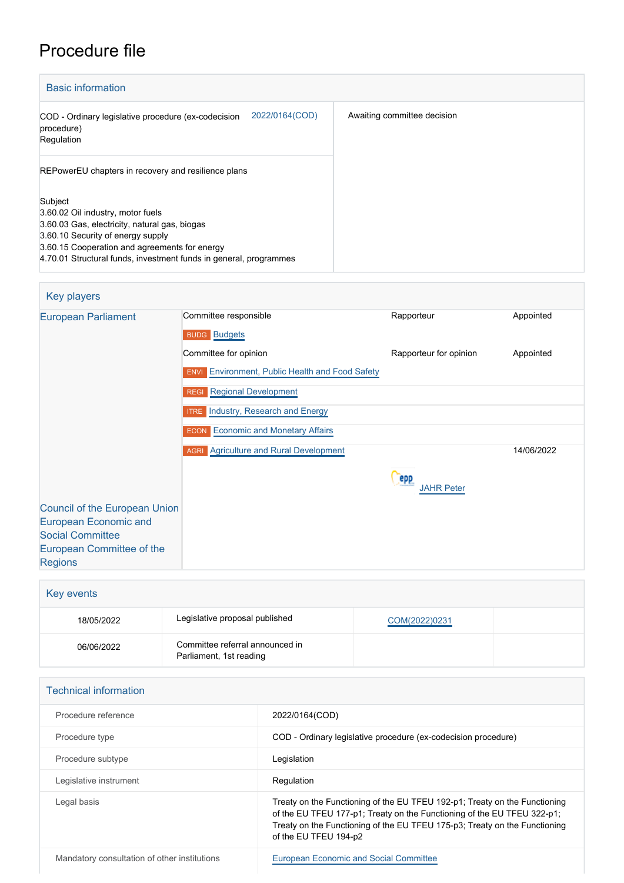## Procedure file

| <b>Basic information</b>                                                                                                                                                                                                                                 |                             |
|----------------------------------------------------------------------------------------------------------------------------------------------------------------------------------------------------------------------------------------------------------|-----------------------------|
| 2022/0164(COD)<br>COD - Ordinary legislative procedure (ex-codecision<br>procedure)<br>Regulation                                                                                                                                                        | Awaiting committee decision |
| REPowerEU chapters in recovery and resilience plans                                                                                                                                                                                                      |                             |
| Subject<br>3.60.02 Oil industry, motor fuels<br>3.60.03 Gas, electricity, natural gas, biogas<br>3.60.10 Security of energy supply<br>3.60.15 Cooperation and agreements for energy<br>4.70.01 Structural funds, investment funds in general, programmes |                             |

## Key players

| <b>European Parliament</b>                                                               | Committee responsible                                  | Rapporteur               | Appointed  |
|------------------------------------------------------------------------------------------|--------------------------------------------------------|--------------------------|------------|
|                                                                                          | <b>BUDG</b> Budgets                                    |                          |            |
|                                                                                          | Committee for opinion                                  | Rapporteur for opinion   | Appointed  |
|                                                                                          | <b>ENVI</b> Environment, Public Health and Food Safety |                          |            |
|                                                                                          | <b>REGI</b> Regional Development                       |                          |            |
|                                                                                          | <b>ITRE</b> Industry, Research and Energy              |                          |            |
|                                                                                          | <b>ECON</b> Economic and Monetary Affairs              |                          |            |
|                                                                                          | <b>AGRI</b> Agriculture and Rural Development          |                          | 14/06/2022 |
|                                                                                          |                                                        | epp<br><b>JAHR Peter</b> |            |
| <b>Council of the European Union</b><br>European Economic and<br><b>Social Committee</b> |                                                        |                          |            |
| European Committee of the<br><b>Regions</b>                                              |                                                        |                          |            |

| Key events |                                                            |               |  |
|------------|------------------------------------------------------------|---------------|--|
| 18/05/2022 | Legislative proposal published                             | COM(2022)0231 |  |
| 06/06/2022 | Committee referral announced in<br>Parliament, 1st reading |               |  |

| <b>Technical information</b>                 |                                                                                                                                                                                                                                                              |
|----------------------------------------------|--------------------------------------------------------------------------------------------------------------------------------------------------------------------------------------------------------------------------------------------------------------|
| Procedure reference                          | 2022/0164(COD)                                                                                                                                                                                                                                               |
| Procedure type                               | COD - Ordinary legislative procedure (ex-codecision procedure)                                                                                                                                                                                               |
| Procedure subtype                            | Legislation                                                                                                                                                                                                                                                  |
| Legislative instrument                       | Regulation                                                                                                                                                                                                                                                   |
| Legal basis                                  | Treaty on the Functioning of the EU TFEU 192-p1; Treaty on the Functioning<br>of the EU TFEU 177-p1; Treaty on the Functioning of the EU TFEU 322-p1;<br>Treaty on the Functioning of the EU TFEU 175-p3; Treaty on the Functioning<br>of the EU TFEU 194-p2 |
| Mandatory consultation of other institutions | <b>European Economic and Social Committee</b>                                                                                                                                                                                                                |